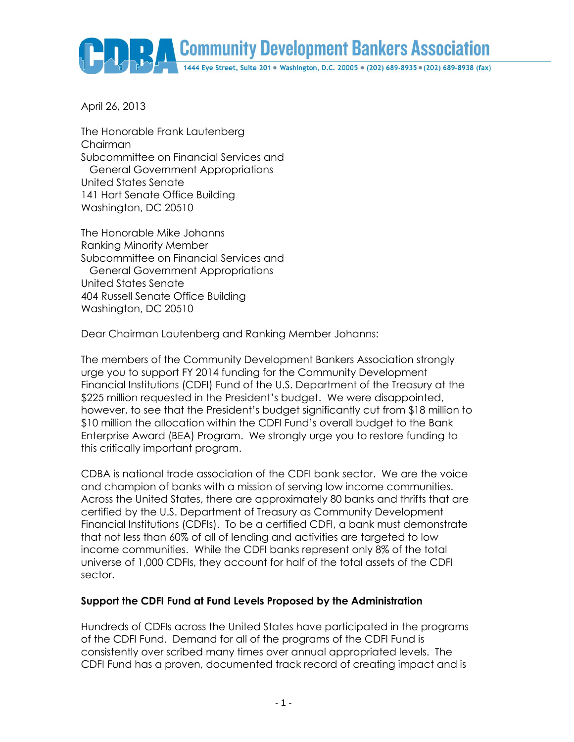

April 26, 2013

The Honorable Frank Lautenberg Chairman Subcommittee on Financial Services and General Government Appropriations United States Senate 141 Hart Senate Office Building Washington, DC 20510

The Honorable Mike Johanns Ranking Minority Member Subcommittee on Financial Services and General Government Appropriations United States Senate 404 Russell Senate Office Building Washington, DC 20510

Dear Chairman Lautenberg and Ranking Member Johanns:

The members of the Community Development Bankers Association strongly urge you to support FY 2014 funding for the Community Development Financial Institutions (CDFI) Fund of the U.S. Department of the Treasury at the \$225 million requested in the President's budget. We were disappointed, however, to see that the President's budget significantly cut from \$18 million to \$10 million the allocation within the CDFI Fund's overall budget to the Bank Enterprise Award (BEA) Program. We strongly urge you to restore funding to this critically important program.

CDBA is national trade association of the CDFI bank sector. We are the voice and champion of banks with a mission of serving low income communities. Across the United States, there are approximately 80 banks and thrifts that are certified by the U.S. Department of Treasury as Community Development Financial Institutions (CDFIs). To be a certified CDFI, a bank must demonstrate that not less than 60% of all of lending and activities are targeted to low income communities. While the CDFI banks represent only 8% of the total universe of 1,000 CDFIs, they account for half of the total assets of the CDFI sector.

## **Support the CDFI Fund at Fund Levels Proposed by the Administration**

Hundreds of CDFIs across the United States have participated in the programs of the CDFI Fund. Demand for all of the programs of the CDFI Fund is consistently over scribed many times over annual appropriated levels. The CDFI Fund has a proven, documented track record of creating impact and is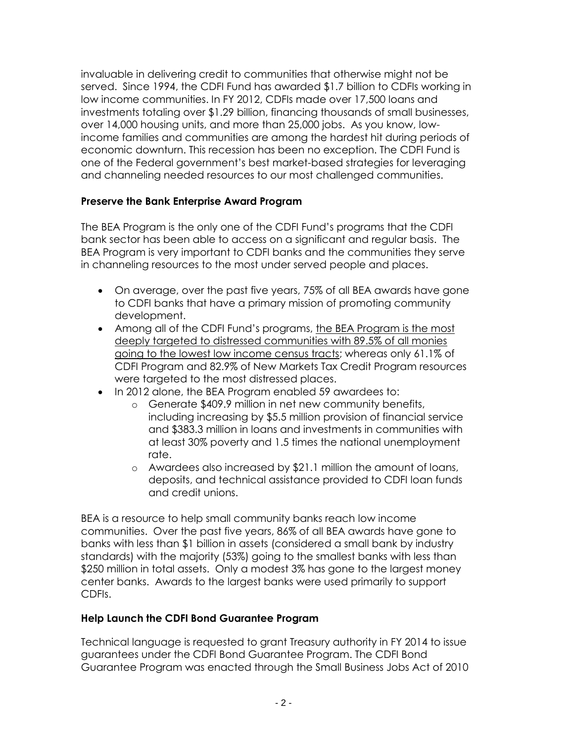invaluable in delivering credit to communities that otherwise might not be served. Since 1994, the CDFI Fund has awarded \$1.7 billion to CDFIs working in low income communities. In FY 2012, CDFIs made over 17,500 loans and investments totaling over \$1.29 billion, financing thousands of small businesses, over 14,000 housing units, and more than 25,000 jobs. As you know, lowincome families and communities are among the hardest hit during periods of economic downturn. This recession has been no exception. The CDFI Fund is one of the Federal government's best market-based strategies for leveraging and channeling needed resources to our most challenged communities.

## **Preserve the Bank Enterprise Award Program**

The BEA Program is the only one of the CDFI Fund's programs that the CDFI bank sector has been able to access on a significant and regular basis. The BEA Program is very important to CDFI banks and the communities they serve in channeling resources to the most under served people and places.

- On average, over the past five years, 75% of all BEA awards have gone to CDFI banks that have a primary mission of promoting community development.
- Among all of the CDFI Fund's programs, the BEA Program is the most deeply targeted to distressed communities with 89.5% of all monies going to the lowest low income census tracts; whereas only 61.1% of CDFI Program and 82.9% of New Markets Tax Credit Program resources were targeted to the most distressed places.
- In 2012 alone, the BEA Program enabled 59 awardees to:
	- o Generate \$409.9 million in net new community benefits, including increasing by \$5.5 million provision of financial service and \$383.3 million in loans and investments in communities with at least 30% poverty and 1.5 times the national unemployment rate.
	- o Awardees also increased by \$21.1 million the amount of loans, deposits, and technical assistance provided to CDFI loan funds and credit unions.

BEA is a resource to help small community banks reach low income communities. Over the past five years, 86% of all BEA awards have gone to banks with less than \$1 billion in assets (considered a small bank by industry standards) with the majority (53%) going to the smallest banks with less than \$250 million in total assets. Only a modest 3% has gone to the largest money center banks. Awards to the largest banks were used primarily to support CDFIs.

## **Help Launch the CDFI Bond Guarantee Program**

Technical language is requested to grant Treasury authority in FY 2014 to issue guarantees under the CDFI Bond Guarantee Program. The CDFI Bond Guarantee Program was enacted through the Small Business Jobs Act of 2010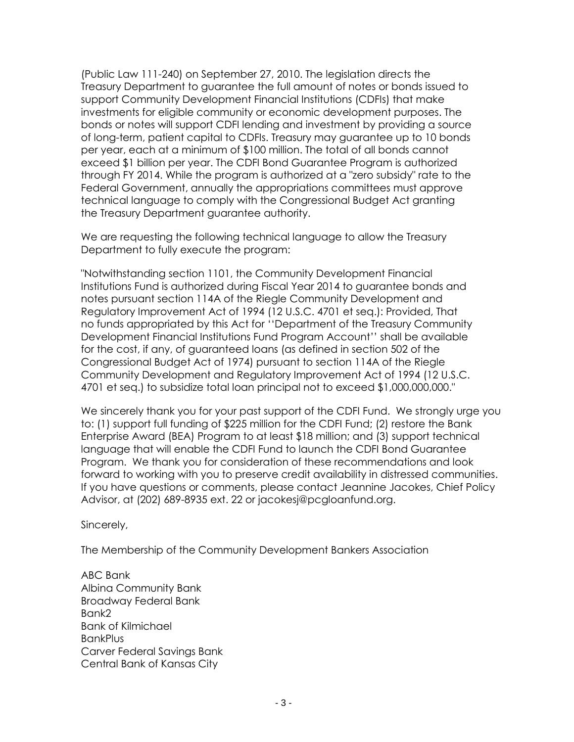(Public Law 111-240) on September 27, 2010. The legislation directs the Treasury Department to guarantee the full amount of notes or bonds issued to support Community Development Financial Institutions (CDFIs) that make investments for eligible community or economic development purposes. The bonds or notes will support CDFI lending and investment by providing a source of long-term, patient capital to CDFIs. Treasury may guarantee up to 10 bonds per year, each at a minimum of \$100 million. The total of all bonds cannot exceed \$1 billion per year. The CDFI Bond Guarantee Program is authorized through FY 2014. While the program is authorized at a "zero subsidy" rate to the Federal Government, annually the appropriations committees must approve technical language to comply with the Congressional Budget Act granting the Treasury Department guarantee authority.

We are requesting the following technical language to allow the Treasury Department to fully execute the program:

"Notwithstanding section 1101, the Community Development Financial Institutions Fund is authorized during Fiscal Year 2014 to guarantee bonds and notes pursuant section 114A of the Riegle Community Development and Regulatory Improvement Act of 1994 (12 U.S.C. 4701 et seq.): Provided, That no funds appropriated by this Act for ''Department of the Treasury Community Development Financial Institutions Fund Program Account'' shall be available for the cost, if any, of guaranteed loans (as defined in section 502 of the Congressional Budget Act of 1974) pursuant to section 114A of the Riegle Community Development and Regulatory Improvement Act of 1994 (12 U.S.C. 4701 et seq.) to subsidize total loan principal not to exceed \$1,000,000,000."

We sincerely thank you for your past support of the CDFI Fund. We strongly urge you to: (1) support full funding of \$225 million for the CDFI Fund; (2) restore the Bank Enterprise Award (BEA) Program to at least \$18 million; and (3) support technical language that will enable the CDFI Fund to launch the CDFI Bond Guarantee Program. We thank you for consideration of these recommendations and look forward to working with you to preserve credit availability in distressed communities. If you have questions or comments, please contact Jeannine Jacokes, Chief Policy Advisor, at (202) 689-8935 ext. 22 or jacokesj@pcgloanfund.org.

Sincerely,

The Membership of the Community Development Bankers Association

ABC Bank Albina Community Bank Broadway Federal Bank Bank2 Bank of Kilmichael BankPlus Carver Federal Savings Bank Central Bank of Kansas City